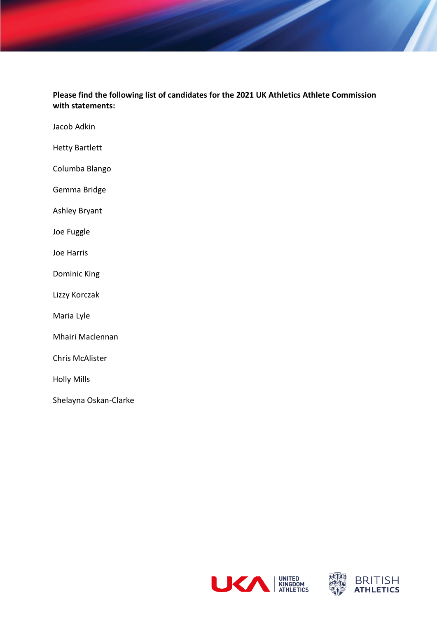**Please find the following list of candidates for the 2021 UK Athletics Athlete Commission with statements:**

Jacob Adkin

Hetty Bartlett

Columba Blango

Gemma Bridge

Ashley Bryant

Joe Fuggle

Joe Harris

Dominic King

Lizzy Korczak

Maria Lyle

Mhairi Maclennan

Chris McAlister

Holly Mills

Shelayna Oskan-Clarke



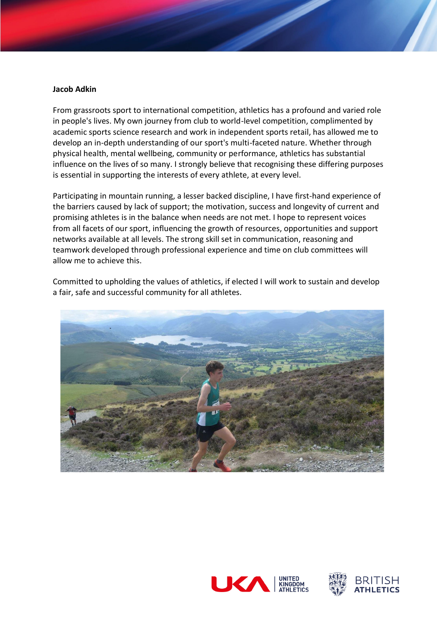#### **Jacob Adkin**

From grassroots sport to international competition, athletics has a profound and varied role in people's lives. My own journey from club to world-level competition, complimented by academic sports science research and work in independent sports retail, has allowed me to develop an in-depth understanding of our sport's multi-faceted nature. Whether through physical health, mental wellbeing, community or performance, athletics has substantial influence on the lives of so many. I strongly believe that recognising these differing purposes is essential in supporting the interests of every athlete, at every level.

Participating in mountain running, a lesser backed discipline, I have first-hand experience of the barriers caused by lack of support; the motivation, success and longevity of current and promising athletes is in the balance when needs are not met. I hope to represent voices from all facets of our sport, influencing the growth of resources, opportunities and support networks available at all levels. The strong skill set in communication, reasoning and teamwork developed through professional experience and time on club committees will allow me to achieve this.

Committed to upholding the values of athletics, if elected I will work to sustain and develop a fair, safe and successful community for all athletes.



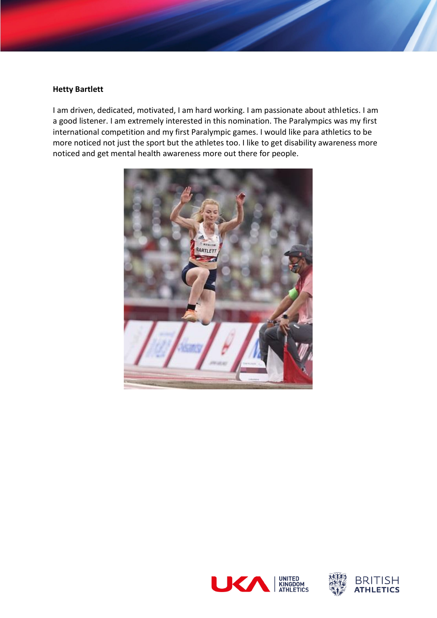## **Hetty Bartlett**

I am driven, dedicated, motivated, I am hard working. I am passionate about athletics. I am a good listener. I am extremely interested in this nomination. The Paralympics was my first international competition and my first Paralympic games. I would like para athletics to be more noticed not just the sport but the athletes too. I like to get disability awareness more noticed and get mental health awareness more out there for people.





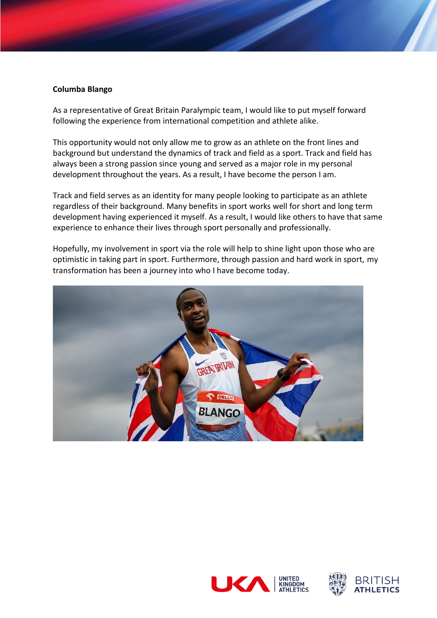# **Columba Blango**

As a representative of Great Britain Paralympic team, I would like to put myself forward following the experience from international competition and athlete alike.

This opportunity would not only allow me to grow as an athlete on the front lines and background but understand the dynamics of track and field as a sport. Track and field has always been a strong passion since young and served as a major role in my personal development throughout the years. As a result, I have become the person I am.

Track and field serves as an identity for many people looking to participate as an athlete regardless of their background. Many benefits in sport works well for short and long term development having experienced it myself. As a result, I would like others to have that same experience to enhance their lives through sport personally and professionally.

Hopefully, my involvement in sport via the role will help to shine light upon those who are optimistic in taking part in sport. Furthermore, through passion and hard work in sport, my transformation has been a journey into who I have become today.





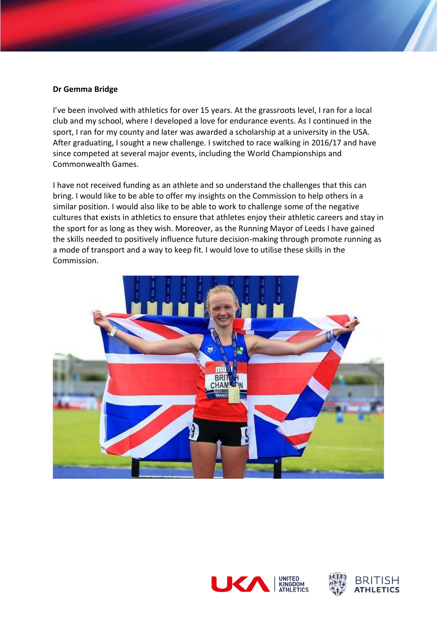## **Dr Gemma Bridge**

I've been involved with athletics for over 15 years. At the grassroots level, I ran for a local club and my school, where I developed a love for endurance events. As I continued in the sport, I ran for my county and later was awarded a scholarship at a university in the USA. After graduating, I sought a new challenge. I switched to race walking in 2016/17 and have since competed at several major events, including the World Championships and Commonwealth Games.

I have not received funding as an athlete and so understand the challenges that this can bring. I would like to be able to offer my insights on the Commission to help others in a similar position. I would also like to be able to work to challenge some of the negative cultures that exists in athletics to ensure that athletes enjoy their athletic careers and stay in the sport for as long as they wish. Moreover, as the Running Mayor of Leeds I have gained the skills needed to positively influence future decision-making through promote running as a mode of transport and a way to keep fit. I would love to utilise these skills in the Commission.





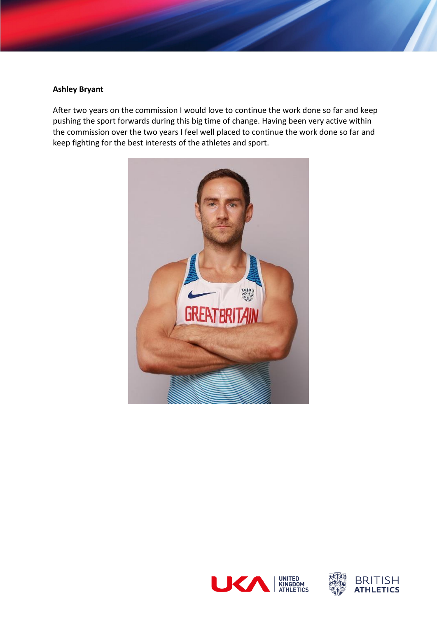# **Ashley Bryant**

After two years on the commission I would love to continue the work done so far and keep pushing the sport forwards during this big time of change. Having been very active within the commission over the two years I feel well placed to continue the work done so far and keep fighting for the best interests of the athletes and sport.





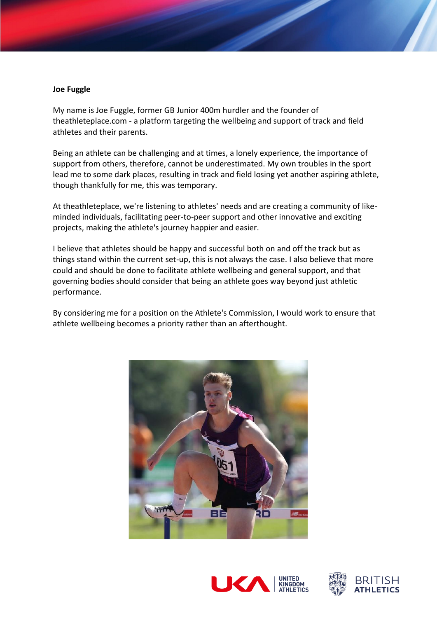### **Joe Fuggle**

My name is Joe Fuggle, former GB Junior 400m hurdler and the founder of theathleteplace.com - a platform targeting the wellbeing and support of track and field athletes and their parents.

Being an athlete can be challenging and at times, a lonely experience, the importance of support from others, therefore, cannot be underestimated. My own troubles in the sport lead me to some dark places, resulting in track and field losing yet another aspiring athlete, though thankfully for me, this was temporary.

At theathleteplace, we're listening to athletes' needs and are creating a community of likeminded individuals, facilitating peer-to-peer support and other innovative and exciting projects, making the athlete's journey happier and easier.

I believe that athletes should be happy and successful both on and off the track but as things stand within the current set-up, this is not always the case. I also believe that more could and should be done to facilitate athlete wellbeing and general support, and that governing bodies should consider that being an athlete goes way beyond just athletic performance.

By considering me for a position on the Athlete's Commission, I would work to ensure that athlete wellbeing becomes a priority rather than an afterthought.





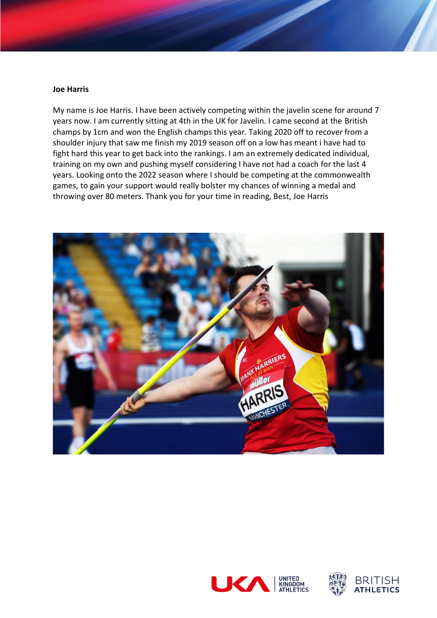#### **Joe Harris**

My name is Joe Harris. I have been actively competing within the javelin scene for around 7 years now. I am currently sitting at 4th in the UK for Javelin. I came second at the British champs by 1cm and won the English champs this year. Taking 2020 off to recover from a shoulder injury that saw me finish my 2019 season off on a low has meant i have had to fight hard this year to get back into the rankings. I am an extremely dedicated individual, training on my own and pushing myself considering I have not had a coach for the last 4 years. Looking onto the 2022 season where I should be competing at the commonwealth games, to gain your support would really bolster my chances of winning a medal and throwing over 80 meters. Thank you for your time in reading, Best, Joe Harris





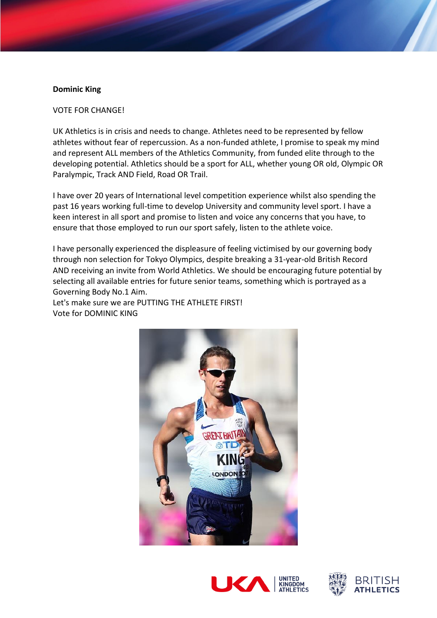## **Dominic King**

### VOTE FOR CHANGE!

UK Athletics is in crisis and needs to change. Athletes need to be represented by fellow athletes without fear of repercussion. As a non-funded athlete, I promise to speak my mind and represent ALL members of the Athletics Community, from funded elite through to the developing potential. Athletics should be a sport for ALL, whether young OR old, Olympic OR Paralympic, Track AND Field, Road OR Trail.

I have over 20 years of International level competition experience whilst also spending the past 16 years working full-time to develop University and community level sport. I have a keen interest in all sport and promise to listen and voice any concerns that you have, to ensure that those employed to run our sport safely, listen to the athlete voice.

I have personally experienced the displeasure of feeling victimised by our governing body through non selection for Tokyo Olympics, despite breaking a 31-year-old British Record AND receiving an invite from World Athletics. We should be encouraging future potential by selecting all available entries for future senior teams, something which is portrayed as a Governing Body No.1 Aim.

Let's make sure we are PUTTING THE ATHLETE FIRST! Vote for DOMINIC KING





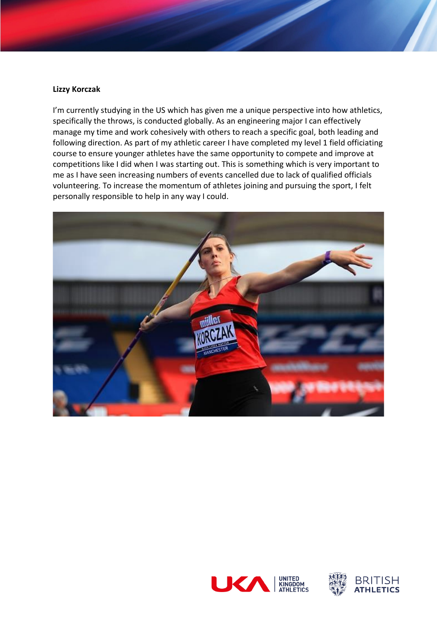# **Lizzy Korczak**

I'm currently studying in the US which has given me a unique perspective into how athletics, specifically the throws, is conducted globally. As an engineering major I can effectively manage my time and work cohesively with others to reach a specific goal, both leading and following direction. As part of my athletic career I have completed my level 1 field officiating course to ensure younger athletes have the same opportunity to compete and improve at competitions like I did when I was starting out. This is something which is very important to me as I have seen increasing numbers of events cancelled due to lack of qualified officials volunteering. To increase the momentum of athletes joining and pursuing the sport, I felt personally responsible to help in any way I could.





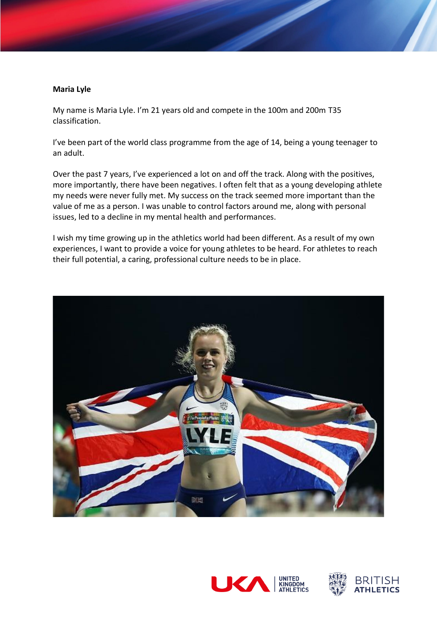#### **Maria Lyle**

My name is Maria Lyle. I'm 21 years old and compete in the 100m and 200m T35 classification.

I've been part of the world class programme from the age of 14, being a young teenager to an adult.

Over the past 7 years, I've experienced a lot on and off the track. Along with the positives, more importantly, there have been negatives. I often felt that as a young developing athlete my needs were never fully met. My success on the track seemed more important than the value of me as a person. I was unable to control factors around me, along with personal issues, led to a decline in my mental health and performances.

I wish my time growing up in the athletics world had been different. As a result of my own experiences, I want to provide a voice for young athletes to be heard. For athletes to reach their full potential, a caring, professional culture needs to be in place.





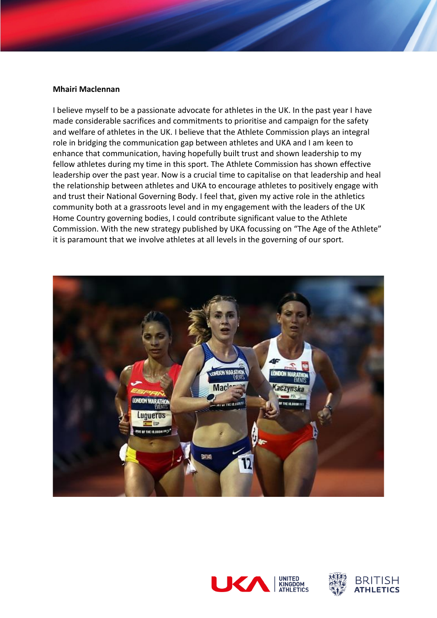#### **Mhairi Maclennan**

I believe myself to be a passionate advocate for athletes in the UK. In the past year I have made considerable sacrifices and commitments to prioritise and campaign for the safety and welfare of athletes in the UK. I believe that the Athlete Commission plays an integral role in bridging the communication gap between athletes and UKA and I am keen to enhance that communication, having hopefully built trust and shown leadership to my fellow athletes during my time in this sport. The Athlete Commission has shown effective leadership over the past year. Now is a crucial time to capitalise on that leadership and heal the relationship between athletes and UKA to encourage athletes to positively engage with and trust their National Governing Body. I feel that, given my active role in the athletics community both at a grassroots level and in my engagement with the leaders of the UK Home Country governing bodies, I could contribute significant value to the Athlete Commission. With the new strategy published by UKA focussing on "The Age of the Athlete" it is paramount that we involve athletes at all levels in the governing of our sport.





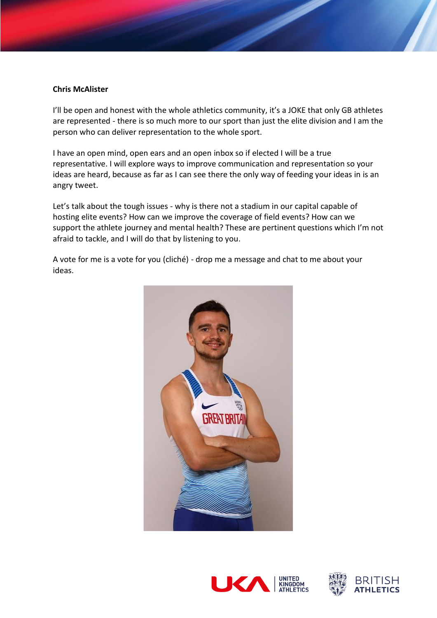# **Chris McAlister**

I'll be open and honest with the whole athletics community, it's a JOKE that only GB athletes are represented - there is so much more to our sport than just the elite division and I am the person who can deliver representation to the whole sport.

I have an open mind, open ears and an open inbox so if elected I will be a true representative. I will explore ways to improve communication and representation so your ideas are heard, because as far as I can see there the only way of feeding your ideas in is an angry tweet.

Let's talk about the tough issues - why is there not a stadium in our capital capable of hosting elite events? How can we improve the coverage of field events? How can we support the athlete journey and mental health? These are pertinent questions which I'm not afraid to tackle, and I will do that by listening to you.

A vote for me is a vote for you (cliché) - drop me a message and chat to me about your ideas.





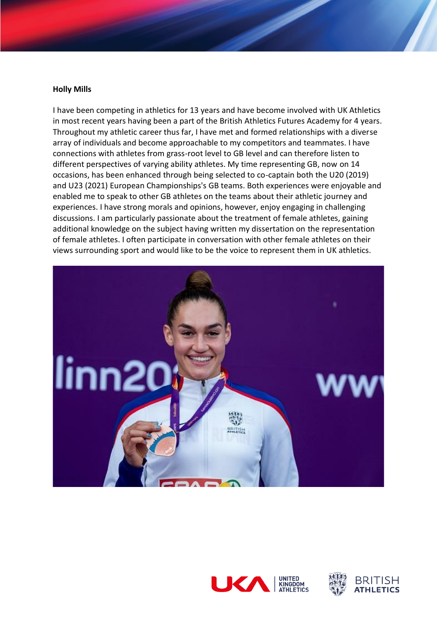#### **Holly Mills**

I have been competing in athletics for 13 years and have become involved with UK Athletics in most recent years having been a part of the British Athletics Futures Academy for 4 years. Throughout my athletic career thus far, I have met and formed relationships with a diverse array of individuals and become approachable to my competitors and teammates. I have connections with athletes from grass-root level to GB level and can therefore listen to different perspectives of varying ability athletes. My time representing GB, now on 14 occasions, has been enhanced through being selected to co-captain both the U20 (2019) and U23 (2021) European Championships's GB teams. Both experiences were enjoyable and enabled me to speak to other GB athletes on the teams about their athletic journey and experiences. I have strong morals and opinions, however, enjoy engaging in challenging discussions. I am particularly passionate about the treatment of female athletes, gaining additional knowledge on the subject having written my dissertation on the representation of female athletes. I often participate in conversation with other female athletes on their views surrounding sport and would like to be the voice to represent them in UK athletics.